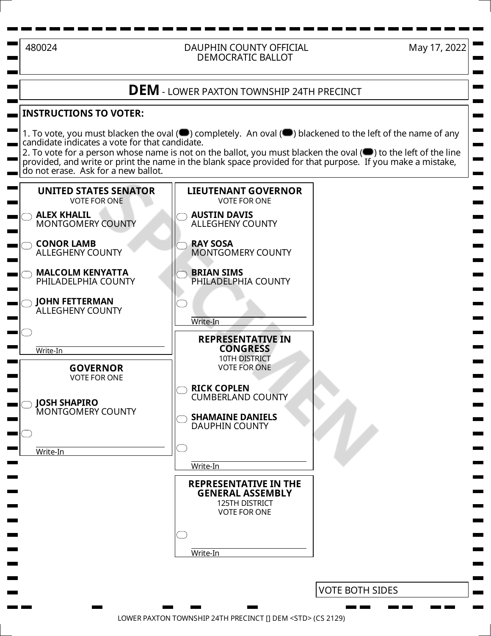## 480024 DAUPHIN COUNTY OFFICIAL DEMOCRATIC BALLOT

May 17, 2022

## **DEM** - LOWER PAXTON TOWNSHIP 24TH PRECINCT

## **INSTRUCTIONS TO VOTER:**

1. To vote, you must blacken the oval (●) completely. An oval (●) blackened to the left of the name of any candidate indicates a vote for that candidate.

2. To vote for a person whose name is not on the ballot, you must blacken the oval  $(\bullet)$  to the left of the line provided, and write or print the name in the blank space provided for that purpose. If you make a mistake, do not erase. Ask for a new ballot.



VOTE BOTH SIDES